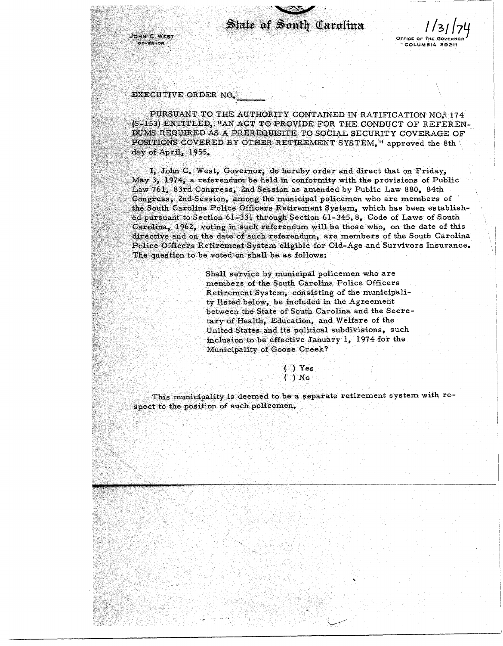State of South Carolina

OFFICE OF THE GOVE COLUMBIA 29211

## EXECUTIVE ORDER NO.

JOHN C. WEST

**GOVERNOR** 

PURSUANT TO THE AUTHORITY CONTAINED IN RATIFICATION NO. 174 (S-153) ENTITLED, "AN ACT TO PROVIDE FOR THE CONDUCT OF REFEREN-DUMS REQUIRED AS A PREREQUISITE TO SOCIAL SECURITY COVERAGE OF POSITIONS COVERED BY OTHER RETIREMENT SYSTEM, " approved the 8th day of April, 1955.

I, John C. West, Governor, do hereby order and direct that on Friday, May 3, 1974, a referendum be held in conformity with the provisions of Public Law 761, 83rd Congress, 2nd Session as amended by Public Law 880, 84th Congress, 2nd Session, among the municipal policemen who are members of the South Carolina Police Officers Retirement System, which has been established pursuant to Section 61-331 through Section 61-345. 8. Code of Laws of South  $\text{Carolina}_{\star}$  1962, voting in such referendum will be those who, on the date of this directive and on the date of such referendum, are members of the South Carolina Police Officers Retirement System eligible for Old-Age and Survivors Insurance. The question to be voted on shall be as follows:

> Shall service by municipal policemen who are members of the South Carolina Police Officers Retirement System, consisting of the municipality listed below, be included in the Agreement between the State of South Carolina and the Secretary of Health, Education, and Welfare of the United States and its political subdivisions, such inclusion to be effective January 1, 1974 for the Municipality of Goose Creek?

 $( )$  Yes  $( )$  No

This municipality is deemed to be a separate retirement system with respect to the position of such policemen.